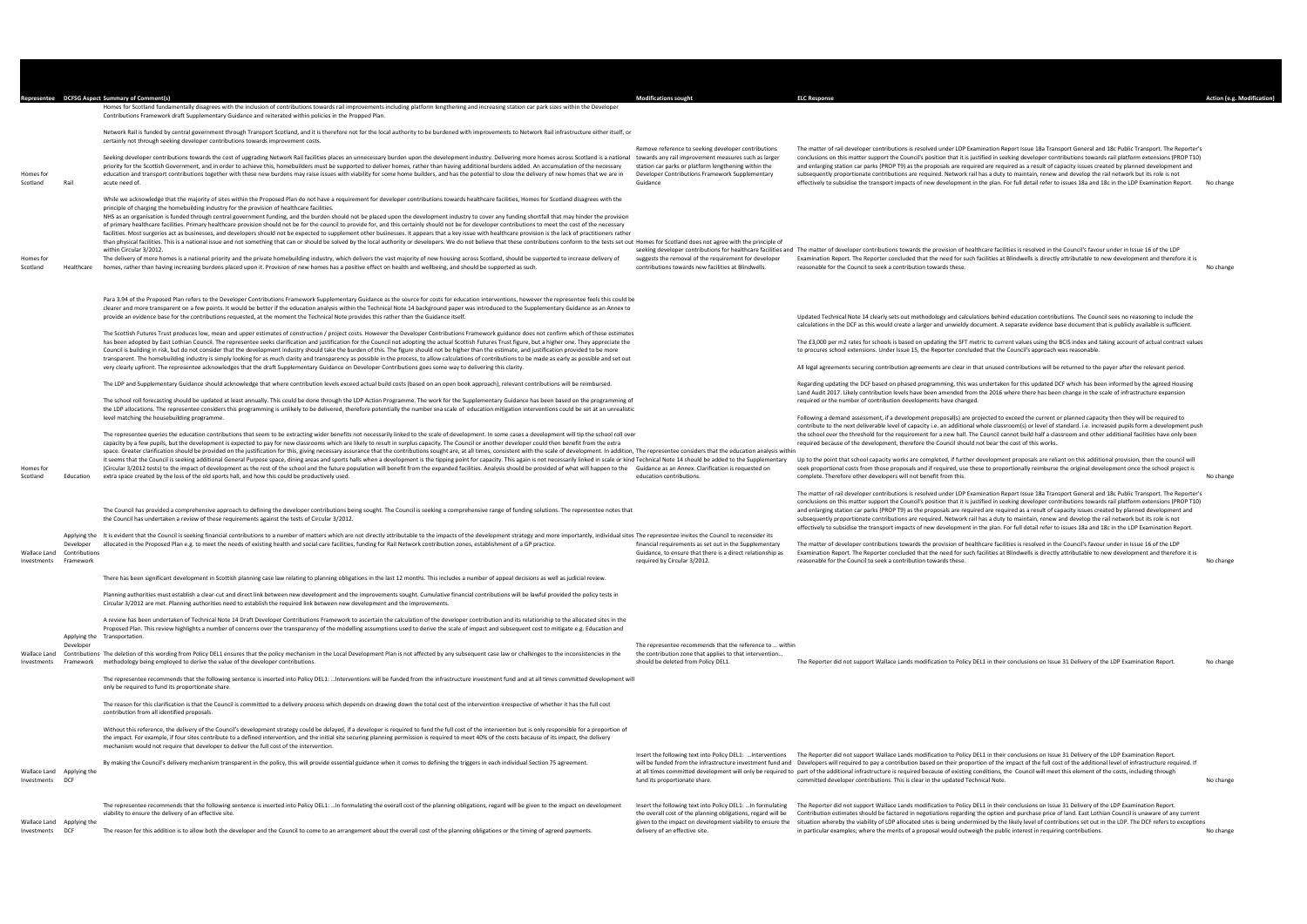| The matter of rail developer contributions is resolved under LDP Examination Report Issue 18a Transport General and 18c Public Transport. The Reporter's<br>conclusions on this matter support the Council's position that it is justified in seeking developer contributions towards rail platform extensions (PROP T10)<br>and enlarging station car parks (PROP T9) as the proposals are required are required as a result of capacity issues created by planned development and<br>subsequently proportionate contributions are required. Network rail has a duty to maintain, renew and develop the rail network but its role is not<br>effectively to subsidise the transport impacts of new development in the plan. For full detail refer to issues 18a and 18c in the LDP Examination Report. | No change |
|--------------------------------------------------------------------------------------------------------------------------------------------------------------------------------------------------------------------------------------------------------------------------------------------------------------------------------------------------------------------------------------------------------------------------------------------------------------------------------------------------------------------------------------------------------------------------------------------------------------------------------------------------------------------------------------------------------------------------------------------------------------------------------------------------------|-----------|
| The matter of developer contributions towards the provision of healthcare facilities is resolved in the Council's favour under in Issue 16 of the LDP<br>Examination Report. The Reporter concluded that the need for such facilities at Blindwells is directly attributable to new development and therefore it is<br>reasonable for the Council to seek a contribution towards these.                                                                                                                                                                                                                                                                                                                                                                                                                | No change |
| Updated Technical Note 14 clearly sets out methodology and calculations behind education contributions. The Council sees no reasoning to include the<br>calculations in the DCF as this would create a larger and unwieldy document. A separate evidence base document that is publicly available is sufficient.                                                                                                                                                                                                                                                                                                                                                                                                                                                                                       |           |
| The £3,000 per m2 rates for schools is based on updating the SFT metric to current values using the BCIS index and taking account of actual contract values<br>to procures school extensions. Under Issue 15, the Reporter concluded that the Council's approach was reasonable.                                                                                                                                                                                                                                                                                                                                                                                                                                                                                                                       |           |
| All legal agreements securing contribution agreements are clear in that unused contributions will be returned to the payer after the relevant period.                                                                                                                                                                                                                                                                                                                                                                                                                                                                                                                                                                                                                                                  |           |
| Regarding updating the DCF based on phased programming, this was undertaken for this updated DCF which has been informed by the agreed Housing<br>Land Audit 2017. Likely contribution levels have been amended from the 2016 where there has been change in the scale of infrastructure expansion<br>required or the number of contribution developments have changed.                                                                                                                                                                                                                                                                                                                                                                                                                                |           |
| Following a demand assessment, if a development proposal(s) are projected to exceed the current or planned capacity then they will be required to<br>contribute to the next deliverable level of capacity i.e. an additional whole classroom(s) or level of standard. i.e. increased pupils form a development push<br>the school over the threshold for the requirement for a new hall. The Council cannot build half a classroom and other additional facilities have only been<br>required because of the development, therefore the Council should not bear the cost of this works.                                                                                                                                                                                                                |           |
| Up to the point that school capacity works are completed, if further development proposals are reliant on this additional provision, then the council will<br>seek proportional costs from those proposals and if required, use these to proportionally reimburse the original development once the school project is<br>complete. Therefore other developers will not benefit from this.                                                                                                                                                                                                                                                                                                                                                                                                              | No change |
| The matter of rail developer contributions is resolved under LDP Examination Report Issue 18a Transport General and 18c Public Transport. The Reporter's<br>conclusions on this matter support the Council's position that it is justified in seeking developer contributions towards rail platform extensions (PROP T10)<br>and enlarging station car parks (PROP T9) as the proposals are required are required as a result of capacity issues created by planned development and<br>subsequently proportionate contributions are required. Network rail has a duty to maintain, renew and develop the rail network but its role is not<br>effectively to subsidise the transport impacts of new development in the plan. For full detail refer to issues 18a and 18c in the LDP Examination Report. |           |
| The matter of developer contributions towards the provision of healthcare facilities is resolved in the Council's favour under in Issue 16 of the LDP<br>Examination Report. The Reporter concluded that the need for such facilities at Blindwells is directly attributable to new development and therefore it is<br>reasonable for the Council to seek a contribution towards these.                                                                                                                                                                                                                                                                                                                                                                                                                | No change |
| The Reporter did not support Wallace Lands modification to Policy DEL1 in their conclusions on Issue 31 Delivery of the LDP Examination Report.                                                                                                                                                                                                                                                                                                                                                                                                                                                                                                                                                                                                                                                        | No change |

|                       |                                                                  | Representee DCFSG Aspect Summary of Comment(s)<br>Homes for Scotland fundamentally disagrees with the inclusion of contributions towards rail improvements including platform lengthening and increasing station car park sizes within the Developer<br>Contributions Framework draft Supplementary Guidance and reiterated within policies in the Propped Plan.                                                                                                                                                                                                                                                                                                                                                                                                                                                                                                                                                                                                                                                                                                         | <b>Modifications sought</b>                                                                                                                                                                                                 | <b>ELC Response</b>                                                                                                                                                                                                                                                                                                                                                                                                                                                                                                                                                                                                                                                                                                                                                                                    | Action (e.g. Modification) |
|-----------------------|------------------------------------------------------------------|--------------------------------------------------------------------------------------------------------------------------------------------------------------------------------------------------------------------------------------------------------------------------------------------------------------------------------------------------------------------------------------------------------------------------------------------------------------------------------------------------------------------------------------------------------------------------------------------------------------------------------------------------------------------------------------------------------------------------------------------------------------------------------------------------------------------------------------------------------------------------------------------------------------------------------------------------------------------------------------------------------------------------------------------------------------------------|-----------------------------------------------------------------------------------------------------------------------------------------------------------------------------------------------------------------------------|--------------------------------------------------------------------------------------------------------------------------------------------------------------------------------------------------------------------------------------------------------------------------------------------------------------------------------------------------------------------------------------------------------------------------------------------------------------------------------------------------------------------------------------------------------------------------------------------------------------------------------------------------------------------------------------------------------------------------------------------------------------------------------------------------------|----------------------------|
|                       |                                                                  | Network Rail is funded by central government through Transport Scotland, and it is therefore not for the local authority to be burdened with improvements to Network Rail infrastructure either itself, or                                                                                                                                                                                                                                                                                                                                                                                                                                                                                                                                                                                                                                                                                                                                                                                                                                                               |                                                                                                                                                                                                                             |                                                                                                                                                                                                                                                                                                                                                                                                                                                                                                                                                                                                                                                                                                                                                                                                        |                            |
| Homes for             | Rail                                                             | certainly not through seeking developer contributions towards improvement costs.<br>Seeking developer contributions towards the cost of upgrading Network Rail facilities places an unnecessary burden upon the development industry. Delivering more homes across Scotland is a national towards any rail improve<br>priority for the Scottish Government, and in order to achieve this, homebuilders must be supported to deliver homes, rather than having additional burdens added. An accumulation of the necessary<br>education and transport contributions together with these new burdens may raise issues with viability for some home builders, and has the potential to slow the delivery of new homes that we are in                                                                                                                                                                                                                                                                                                                                         | Remove reference to seeking developer contributions<br>station car parks or platform lengthening within the<br>Developer Contributions Framework Supplementary<br>Guidance                                                  | The matter of rail developer contributions is resolved under LDP Examination Report Issue 18a Transport General and 18c Public Transport. The Reporter's<br>conclusions on this matter support the Council's position that it is justified in seeking developer contributions towards rail platform extensions (PROP T10)<br>and enlarging station car parks (PROP T9) as the proposals are required are required as a result of capacity issues created by planned development and<br>subsequently proportionate contributions are required. Network rail has a duty to maintain, renew and develop the rail network but its role is not                                                                                                                                                              |                            |
| Scotland              |                                                                  | acute need of.<br>While we acknowledge that the majority of sites within the Proposed Plan do not have a requirement for developer contributions towards healthcare facilities, Homes for Scotland disagrees with the<br>principle of charging the homebuilding industry for the provision of healthcare facilities.<br>NHS as an organisation is funded through central government funding, and the burden should not be placed upon the development industry to cover any funding shortfall that may hinder the provision                                                                                                                                                                                                                                                                                                                                                                                                                                                                                                                                              |                                                                                                                                                                                                                             | effectively to subsidise the transport impacts of new development in the plan. For full detail refer to issues 18a and 18c in the LDP Examination Report.                                                                                                                                                                                                                                                                                                                                                                                                                                                                                                                                                                                                                                              | No change                  |
| Homes for<br>Scotland | Healthcare                                                       | of primary healthcare facilities. Primary healthcare provision should not be for the council to provide for, and this certainly should not be for developer contributions to meet the cost of the necessary<br>facilities. Most surgeries act as businesses, and developers should not be expected to supplement other businesses. It appears that a key issue with healthcare provision is the lack of practitioners rather<br>than physical facilities. This is a national issue and not something that can or should be solved by the local authority or developers. We do not believe that these contributions conform to the tests set out Homes for Scot<br>within Circular 3/2012<br>The delivery of more homes is a national priority and the private homebuilding industry, which delivers the vast majority of new housing across Scotland, should be supported to increase delivery of<br>homes, rather than having increasing burdens placed upon it. Provision of new homes has a positive effect on health and wellbeing, and should be supported as such. | suggests the removal of the requirement for developer<br>contributions towards new facilities at Blindwells.                                                                                                                | seeking developer contributions for healthcare facilities and The matter of developer contributions towards the provision of healthcare facilities is resolved in the Council's favour under in Issue 16 of the LDP<br>Examination Report. The Reporter concluded that the need for such facilities at Blindwells is directly attributable to new development and therefore it is<br>reasonable for the Council to seek a contribution towards these.                                                                                                                                                                                                                                                                                                                                                  | No change                  |
|                       |                                                                  | Para 3.94 of the Proposed Plan refers to the Developer Contributions Framework Supplementary Guidance as the source for costs for education interventions, however the representee feels this could be<br>clearer and more transparent on a few points. It would be better if the education analysis within the Technical Note 14 background paper was introduced to the Supplementary Guidance as an Annex to<br>provide an evidence base for the contributions requested, at the moment the Technical Note provides this rather than the Guidance itself.<br>The Scottish Futures Trust produces low, mean and upper estimates of construction / project costs. However the Developer Contributions Framework guidance does not confirm which of these estimates                                                                                                                                                                                                                                                                                                       |                                                                                                                                                                                                                             | Updated Technical Note 14 clearly sets out methodology and calculations behind education contributions. The Council sees no reasoning to include the<br>calculations in the DCF as this would create a larger and unwieldy document. A separate evidence base document that is publicly available is sufficient.                                                                                                                                                                                                                                                                                                                                                                                                                                                                                       |                            |
|                       |                                                                  | has been adopted by East Lothian Council. The representee seeks clarification and justification for the Council not adopting the actual Scottish Futures Trust figure, but a higher one. They appreciate the<br>Council is building in risk, but do not consider that the development industry should take the burden of this. The figure should not be higher than the estimate, and justification provided to be more<br>transparent. The homebuilding industry is simply looking for as much clarity and transparency as possible in the process, to allow calculations of contributions to be made as early as possible and set out                                                                                                                                                                                                                                                                                                                                                                                                                                  |                                                                                                                                                                                                                             | The £3,000 per m2 rates for schools is based on updating the SFT metric to current values using the BCIS index and taking account of actual contract values<br>to procures school extensions. Under Issue 15, the Reporter concluded that the Council's approach was reasonable.                                                                                                                                                                                                                                                                                                                                                                                                                                                                                                                       |                            |
|                       |                                                                  | very clearly upfront. The representee acknowledges that the draft Supplementary Guidance on Developer Contributions goes some way to delivering this clarity.                                                                                                                                                                                                                                                                                                                                                                                                                                                                                                                                                                                                                                                                                                                                                                                                                                                                                                            |                                                                                                                                                                                                                             | All legal agreements securing contribution agreements are clear in that unused contributions will be returned to the payer after the relevant period.                                                                                                                                                                                                                                                                                                                                                                                                                                                                                                                                                                                                                                                  |                            |
|                       |                                                                  | The LDP and Supplementary Guidance should acknowledge that where contribution levels exceed actual build costs (based on an open book approach), relevant contributions will be reimbursed.<br>The school roll forecasting should be updated at least annually. This could be done through the LDP Action Programme. The work for the Supplementary Guidance has been based on the programming of                                                                                                                                                                                                                                                                                                                                                                                                                                                                                                                                                                                                                                                                        |                                                                                                                                                                                                                             | Regarding updating the DCF based on phased programming, this was undertaken for this updated DCF which has been informed by the agreed Housing<br>Land Audit 2017. Likely contribution levels have been amended from the 2016 where there has been change in the scale of infrastructure expansion<br>required or the number of contribution developments have changed.                                                                                                                                                                                                                                                                                                                                                                                                                                |                            |
|                       |                                                                  | the LDP allocations. The representee considers this programming is unlikely to be delivered, therefore potentially the number sna scale of education mitigation interventions could be set at an unrealistic<br>level matching the housebuilding programme.<br>The representee queries the education contributions that seem to be extracting wider benefits not necessarily linked to the scale of development. In some cases a development will tip the school roll over                                                                                                                                                                                                                                                                                                                                                                                                                                                                                                                                                                                               |                                                                                                                                                                                                                             | Following a demand assessment, if a development proposal(s) are projected to exceed the current or planned capacity then they will be required to<br>contribute to the next deliverable level of capacity i.e. an additional whole classroom(s) or level of standard. i.e. increased pupils form a development push<br>the school over the threshold for the requirement for a new hall. The Council cannot build half a classroom and other additional facilities have only been                                                                                                                                                                                                                                                                                                                      |                            |
|                       |                                                                  | capacity by a few pupils, but the development is expected to pay for new classrooms which are likely to result in surplus capacity. The Council or another developer could then benefit from the extra<br>space. Greater clarification should be provided on the justification for this, giving necessary assurance that the contributions sought are, at all times, consistent with the scale of development. In addition, The represen                                                                                                                                                                                                                                                                                                                                                                                                                                                                                                                                                                                                                                 |                                                                                                                                                                                                                             | required because of the development, therefore the Council should not bear the cost of this works.                                                                                                                                                                                                                                                                                                                                                                                                                                                                                                                                                                                                                                                                                                     |                            |
| Homes for<br>Scotland | Education                                                        | it seems that the Council is seeking additional General Purpose space, dining areas and sports halls when a development is the tipping point for capacity. This again is not necessarily linked in scale or kind Technical Not<br>(Circular 3/2012 tests) to the impact of development as the rest of the school and the future population will benefit from the expanded facilities. Analysis should be provided of what will happen to the Guidance as an Anne<br>extra space created by the loss of the old sports hall, and how this could be productively used.                                                                                                                                                                                                                                                                                                                                                                                                                                                                                                     | education contributions.                                                                                                                                                                                                    | Up to the point that school capacity works are completed, if further development proposals are reliant on this additional provision, then the council will<br>seek proportional costs from those proposals and if required, use these to proportionally reimburse the original development once the school project is<br>complete. Therefore other developers will not benefit from this.                                                                                                                                                                                                                                                                                                                                                                                                              | No change                  |
|                       |                                                                  | The Council has provided a comprehensive approach to defining the developer contributions being sought. The Council is seeking a comprehensive range of funding solutions. The representee notes that<br>the Council has undertaken a review of these requirements against the tests of Circular 3/2012.                                                                                                                                                                                                                                                                                                                                                                                                                                                                                                                                                                                                                                                                                                                                                                 |                                                                                                                                                                                                                             | The matter of rail developer contributions is resolved under LDP Examination Report Issue 18a Transport General and 18c Public Transport. The Reporter's<br>conclusions on this matter support the Council's position that it is justified in seeking developer contributions towards rail platform extensions (PROP T10)<br>and enlarging station car parks (PROP T9) as the proposals are required are required as a result of capacity issues created by planned development and<br>subsequently proportionate contributions are required. Network rail has a duty to maintain, renew and develop the rail network but its role is not<br>effectively to subsidise the transport impacts of new development in the plan. For full detail refer to issues 18a and 18c in the LDP Examination Report. |                            |
|                       | Developer<br>Wallace Land Contributions<br>Investments Framework | Applying the It is evident that the Council is seeking financial contributions to a number of matters which are not directly attributable to the impacts of the development strategy and more importantly, individual sites Th<br>allocated in the Proposed Plan e.g. to meet the needs of existing health and social care facilities, funding for Rail Network contribution zones, establishment of a GP practice.                                                                                                                                                                                                                                                                                                                                                                                                                                                                                                                                                                                                                                                      | financial requirements as set out in the Supplementary<br>Guidance, to ensure that there is a direct relationship as<br>required by Circular 3/2012.                                                                        | The matter of developer contributions towards the provision of healthcare facilities is resolved in the Council's favour under in Issue 16 of the LDP<br>Examination Report. The Reporter concluded that the need for such facilities at Blindwells is directly attributable to new development and therefore it is<br>reasonable for the Council to seek a contribution towards these.                                                                                                                                                                                                                                                                                                                                                                                                                | No change                  |
|                       |                                                                  | There has been significant development in Scottish planning case law relating to planning obligations in the last 12 months. This includes a number of appeal decisions as well as judicial review.                                                                                                                                                                                                                                                                                                                                                                                                                                                                                                                                                                                                                                                                                                                                                                                                                                                                      |                                                                                                                                                                                                                             |                                                                                                                                                                                                                                                                                                                                                                                                                                                                                                                                                                                                                                                                                                                                                                                                        |                            |
|                       |                                                                  | Planning authorities must establish a clear-cut and direct link between new development and the improvements sought. Cumulative financial contributions will be lawful provided the policy tests in<br>Circular 3/2012 are met. Planning authorities need to establish the required link between new development and the improvements.                                                                                                                                                                                                                                                                                                                                                                                                                                                                                                                                                                                                                                                                                                                                   |                                                                                                                                                                                                                             |                                                                                                                                                                                                                                                                                                                                                                                                                                                                                                                                                                                                                                                                                                                                                                                                        |                            |
|                       |                                                                  | A review has been undertaken of Technical Note 14 Draft Developer Contributions Framework to ascertain the calculation of the developer contribution and its relationship to the allocated sites in the<br>Proposed Plan. This review highlights a number of concerns over the transparency of the modelling assumptions used to derive the scale of impact and subsequent cost to mitigate e.g. Education and<br>Applying the Transportation.                                                                                                                                                                                                                                                                                                                                                                                                                                                                                                                                                                                                                           |                                                                                                                                                                                                                             |                                                                                                                                                                                                                                                                                                                                                                                                                                                                                                                                                                                                                                                                                                                                                                                                        |                            |
| Investments           | Developer                                                        | Wallace Land Contributions The deletion of this wording from Policy DEL1 ensures that the policy mechanism in the Local Development Plan is not affected by any subsequent case law or challenges to the inconsistencies in th<br>Framework methodology being employed to derive the value of the developer contributions.                                                                                                                                                                                                                                                                                                                                                                                                                                                                                                                                                                                                                                                                                                                                               | The representee recommends that the reference to  within<br>the contribution zone that applies to that intervention<br>should be deleted from Policy DEL1.                                                                  | The Reporter did not support Wallace Lands modification to Policy DEL1 in their conclusions on Issue 31 Delivery of the LDP Examination Report.                                                                                                                                                                                                                                                                                                                                                                                                                                                                                                                                                                                                                                                        | No change                  |
|                       |                                                                  | The representee recommends that the following sentence is inserted into Policy DEL1:  Interventions will be funded from the infrastructure investment fund and at all times committed development will<br>only be required to fund its proportionate share.                                                                                                                                                                                                                                                                                                                                                                                                                                                                                                                                                                                                                                                                                                                                                                                                              |                                                                                                                                                                                                                             |                                                                                                                                                                                                                                                                                                                                                                                                                                                                                                                                                                                                                                                                                                                                                                                                        |                            |
|                       |                                                                  | The reason for this clarification is that the Council is committed to a delivery process which depends on drawing down the total cost of the intervention irrespective of whether it has the full cost<br>contribution from all identified proposals.                                                                                                                                                                                                                                                                                                                                                                                                                                                                                                                                                                                                                                                                                                                                                                                                                    |                                                                                                                                                                                                                             |                                                                                                                                                                                                                                                                                                                                                                                                                                                                                                                                                                                                                                                                                                                                                                                                        |                            |
|                       |                                                                  | Without this reference, the delivery of the Council's development strategy could be delayed, if a developer is required to fund the full cost of the intervention but is only responsible for a proportion of<br>the impact. For example, if four sites contribute to a defined intervention, and the initial site securing planning permission is required to meet 40% of the costs because of its impact, the delivery<br>mechanism would not require that developer to deliver the full cost of the intervention.                                                                                                                                                                                                                                                                                                                                                                                                                                                                                                                                                     |                                                                                                                                                                                                                             |                                                                                                                                                                                                                                                                                                                                                                                                                                                                                                                                                                                                                                                                                                                                                                                                        |                            |
| Investments DCF       | Wallace Land Applying the                                        | By making the Council's delivery mechanism transparent in the policy, this will provide essential guidance when it comes to defining the triggers in each individual Section 75 agreement.                                                                                                                                                                                                                                                                                                                                                                                                                                                                                                                                                                                                                                                                                                                                                                                                                                                                               | fund its proportionate share.                                                                                                                                                                                               | Insert the following text into Policy DEL1: Interventions The Reporter did not support Wallace Lands modification to Policy DEL1 in their conclusions on Issue 31 Delivery of the LDP Examination Report.<br>will be funded from the infrastructure investment fund and Developers will required to pay a contribution based on their proportion of the impact of the full cost of the additional level of infrastructure required. If<br>at all times committed development will only be required to part of the additional infrastructure is required because of existing conditions, the Council will meet this element of the costs, including through<br>committed developer contributions. This is clear in the updated Technical Note.                                                          | No change                  |
| Investments DCF       | Wallace Land Applying the                                        | The representee recommends that the following sentence is inserted into Policy DEL1:  In formulating the overall cost of the planning obligations, regard will be given to the impact on development<br>viability to ensure the delivery of an effective site.<br>The reason for this addition is to allow both the developer and the Council to come to an arrangement about the overall cost of the planning obligations or the timing of agreed payments.                                                                                                                                                                                                                                                                                                                                                                                                                                                                                                                                                                                                             | Insert the following text into Policy DEL1:  In formulating<br>the overall cost of the planning obligations, regard will be<br>given to the impact on development viability to ensure the<br>delivery of an effective site. | The Reporter did not support Wallace Lands modification to Policy DEL1 in their conclusions on Issue 31 Delivery of the LDP Examination Report.<br>Contribution estimates should be factored in negotiations regarding the option and purchase price of land. East Lothian Council is unaware of any current<br>situation whereby the viability of LDP allocated sites is being undermined by the likely level of contributions set out in the LDP. The DCF refers to exceptions<br>in particular examples; where the merits of a proposal would outweigh the public interest in requiring contributions.                                                                                                                                                                                              | No change                  |
|                       |                                                                  |                                                                                                                                                                                                                                                                                                                                                                                                                                                                                                                                                                                                                                                                                                                                                                                                                                                                                                                                                                                                                                                                          |                                                                                                                                                                                                                             |                                                                                                                                                                                                                                                                                                                                                                                                                                                                                                                                                                                                                                                                                                                                                                                                        |                            |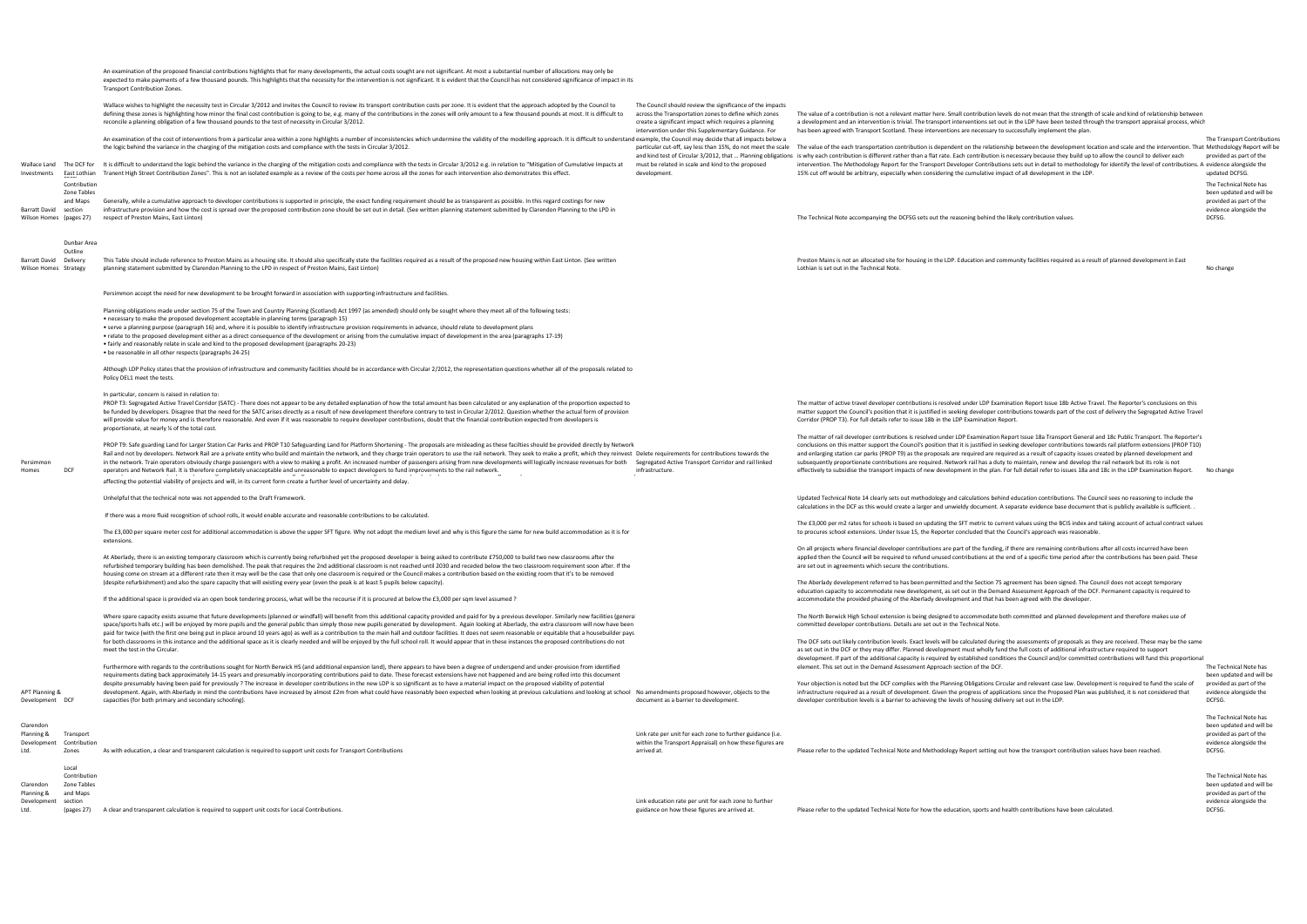The value of the each transportation contribution is dependent on the relationship between the development location and scale and the intervention. That Methodology Report will be ibution is necessary because they build up to allow the council to deliver each intervention. The Methodology Report for the Transport Developer Contributions sets out in detail to methodology for identify the level of contributions. A evidence alongside the

 provided as part of the The Transport Contributions updated DCFSG.

The Technical Note has been updated and will be provided as part of the evidence alongside the DCFSG.

|                                                 |                                                  | An examination of the proposed financial contributions highlights that for many developments, the actual costs sought are not significant. At most a substantial number of allocations may only be<br>expected to make payments of a few thousand pounds. This highlights that the necessity for the intervention is not significant. It is evident that the Council has not considered significance of impact in its<br>Transport Contribution Zones.                                                                                                                                                                                                                                                                                                                                                                                                                                                                                                                                                                    |                                                                                                                                                                                                                                    |                                                                                                                                                                                                                                                                                                                                                                                                                                                                                                                                                                                                                                                                                                                                                                                                        |                                                 |
|-------------------------------------------------|--------------------------------------------------|---------------------------------------------------------------------------------------------------------------------------------------------------------------------------------------------------------------------------------------------------------------------------------------------------------------------------------------------------------------------------------------------------------------------------------------------------------------------------------------------------------------------------------------------------------------------------------------------------------------------------------------------------------------------------------------------------------------------------------------------------------------------------------------------------------------------------------------------------------------------------------------------------------------------------------------------------------------------------------------------------------------------------|------------------------------------------------------------------------------------------------------------------------------------------------------------------------------------------------------------------------------------|--------------------------------------------------------------------------------------------------------------------------------------------------------------------------------------------------------------------------------------------------------------------------------------------------------------------------------------------------------------------------------------------------------------------------------------------------------------------------------------------------------------------------------------------------------------------------------------------------------------------------------------------------------------------------------------------------------------------------------------------------------------------------------------------------------|-------------------------------------------------|
|                                                 |                                                  | Wallace wishes to highlight the necessity test in Circular 3/2012 and invites the Council to review its transport contribution costs per zone. It is evident that the approach adopted by the Council to<br>defining these zones is highlighting how minor the final cost contribution is going to be, e.g. many of the contributions in the zones will only amount to a few thousand pounds at most. It is difficult to<br>reconcile a planning obligation of a few thousand pounds to the test of necessity in Circular 3/2012.                                                                                                                                                                                                                                                                                                                                                                                                                                                                                         | The Council should review the significance of the impacts<br>across the Transportation zones to define which zones<br>create a significant impact which requires a planning<br>intervention under this Supplementary Guidance. For | The value of a contribution is not a relevant matter here. Small contribution levels do not mean that the strength of scale and kind of relationship between<br>a development and an intervention is trivial. The transport interventions set out in the LDP have been tested through the transport appraisal process, which<br>has been agreed with Transport Scotland. These interventions are necessary to successfully implement the plan.                                                                                                                                                                                                                                                                                                                                                         |                                                 |
|                                                 |                                                  | An examination of the cost of interventions from a particular area within a zone highlights a number of inconsistencies which undermine the validity of the modelling approach. It is difficult to understand example, the Cou<br>the logic behind the variance in the charging of the mitigation costs and compliance with the tests in Circular 3/2012.                                                                                                                                                                                                                                                                                                                                                                                                                                                                                                                                                                                                                                                                 | particular cut-off, say less than 15%, do not meet the scale<br>and kind test of Circular 3/2012, that  Planning obligations                                                                                                       | The value of the each transportation contribution is dependent on the relationship between the development location and scale and the intervention. That Methodol<br>is why each contribution is different rather than a flat rate. Each contribution is necessary because they build up to allow the council to deliver each                                                                                                                                                                                                                                                                                                                                                                                                                                                                          | The Transp<br>provided a                        |
| Wallace Land<br>Investments                     | The DCF for<br>East Lothian                      | It is difficult to understand the logic behind the variance in the charging of the mitigation costs and compliance with the tests in Circular 3/2012 e.g. in relation to "Mitigation of Cumulative Impacts at<br>Tranent High Street Contribution Zones". This is not an isolated example as a review of the costs per home across all the zones for each intervention also demonstrates this effect.                                                                                                                                                                                                                                                                                                                                                                                                                                                                                                                                                                                                                     | must be related in scale and kind to the proposed<br>development.                                                                                                                                                                  | intervention. The Methodology Report for the Transport Developer Contributions sets out in detail to methodology for identify the level of contributions. A evidence a<br>15% cut off would be arbitrary, especially when considering the cumulative impact of all development in the LDP.                                                                                                                                                                                                                                                                                                                                                                                                                                                                                                             | updated D                                       |
|                                                 | Contribution<br>Zone Tables<br>and Maps          | Generally, while a cumulative approach to developer contributions is supported in principle, the exact funding requirement should be as transparent as possible. In this regard costings for new                                                                                                                                                                                                                                                                                                                                                                                                                                                                                                                                                                                                                                                                                                                                                                                                                          |                                                                                                                                                                                                                                    |                                                                                                                                                                                                                                                                                                                                                                                                                                                                                                                                                                                                                                                                                                                                                                                                        | The Techn<br>been upda<br>provided a            |
| Barratt David<br>Wilson Homes (pages 27)        | section                                          | infrastructure provision and how the cost is spread over the proposed contribution zone should be set out in detail. (See written planning statement submitted by Clarendon Planning to the LPD in<br>respect of Preston Mains, East Linton)                                                                                                                                                                                                                                                                                                                                                                                                                                                                                                                                                                                                                                                                                                                                                                              |                                                                                                                                                                                                                                    | The Technical Note accompanying the DCFSG sets out the reasoning behind the likely contribution values.                                                                                                                                                                                                                                                                                                                                                                                                                                                                                                                                                                                                                                                                                                | evidence a<br>DCFSG.                            |
|                                                 | Dunbar Area<br>Outline                           |                                                                                                                                                                                                                                                                                                                                                                                                                                                                                                                                                                                                                                                                                                                                                                                                                                                                                                                                                                                                                           |                                                                                                                                                                                                                                    |                                                                                                                                                                                                                                                                                                                                                                                                                                                                                                                                                                                                                                                                                                                                                                                                        |                                                 |
| Barratt David Delivery<br>Wilson Homes Strategy |                                                  | This Table should include reference to Preston Mains as a housing site. It should also specifically state the facilities required as a result of the proposed new housing within East Linton. (See written<br>planning statement submitted by Clarendon Planning to the LPD in respect of Preston Mains, East Linton)                                                                                                                                                                                                                                                                                                                                                                                                                                                                                                                                                                                                                                                                                                     |                                                                                                                                                                                                                                    | Preston Mains is not an allocated site for housing in the LDP. Education and community facilities required as a result of planned development in East<br>Lothian is set out in the Technical Note.                                                                                                                                                                                                                                                                                                                                                                                                                                                                                                                                                                                                     | No change                                       |
|                                                 |                                                  | Persimmon accept the need for new development to be brought forward in association with supporting infrastructure and facilities.                                                                                                                                                                                                                                                                                                                                                                                                                                                                                                                                                                                                                                                                                                                                                                                                                                                                                         |                                                                                                                                                                                                                                    |                                                                                                                                                                                                                                                                                                                                                                                                                                                                                                                                                                                                                                                                                                                                                                                                        |                                                 |
|                                                 |                                                  | Planning obligations made under section 75 of the Town and Country Planning (Scotland) Act 1997 (as amended) should only be sought where they meet all of the following tests:<br>• necessary to make the proposed development acceptable in planning terms (paragraph 15)<br>. serve a planning purpose (paragraph 16) and, where it is possible to identify infrastructure provision requirements in advance, should relate to development plans<br>• relate to the proposed development either as a direct consequence of the development or arising from the cumulative impact of development in the area (paragraphs 17-19)                                                                                                                                                                                                                                                                                                                                                                                          |                                                                                                                                                                                                                                    |                                                                                                                                                                                                                                                                                                                                                                                                                                                                                                                                                                                                                                                                                                                                                                                                        |                                                 |
|                                                 |                                                  | • fairly and reasonably relate in scale and kind to the proposed development (paragraphs 20-23)<br>• be reasonable in all other respects (paragraphs 24-25)                                                                                                                                                                                                                                                                                                                                                                                                                                                                                                                                                                                                                                                                                                                                                                                                                                                               |                                                                                                                                                                                                                                    |                                                                                                                                                                                                                                                                                                                                                                                                                                                                                                                                                                                                                                                                                                                                                                                                        |                                                 |
|                                                 |                                                  | Although LDP Policy states that the provision of infrastructure and community facilities should be in accordance with Circular 2/2012, the representation questions whether all of the proposals related to<br>Policy DEL1 meet the tests.                                                                                                                                                                                                                                                                                                                                                                                                                                                                                                                                                                                                                                                                                                                                                                                |                                                                                                                                                                                                                                    |                                                                                                                                                                                                                                                                                                                                                                                                                                                                                                                                                                                                                                                                                                                                                                                                        |                                                 |
|                                                 |                                                  | In particular, concern is raised in relation to:<br>PROP T3: Segregated Active Travel Corridor (SATC) - There does not appear to be any detailed explanation of how the total amount has been calculated or any explanation of the proportion expected to<br>be funded by developers. Disagree that the need for the SATC arises directly as a result of new development therefore contrary to test in Circular 2/2012. Question whether the actual form of provision<br>will provide value for money and is therefore reasonable. And even if it was reasonable to require developer contributions, doubt that the financial contribution expected from developers is<br>proportionate, at nearly % of the total cost.                                                                                                                                                                                                                                                                                                   |                                                                                                                                                                                                                                    | The matter of active travel developer contributions is resolved under LDP Examination Report Issue 18b Active Travel. The Reporter's conclusions on this<br>matter support the Council's position that it is justified in seeking developer contributions towards part of the cost of delivery the Segregated Active Travel<br>Corridor (PROP T3). For full details refer to issue 18b in the LDP Examination Report                                                                                                                                                                                                                                                                                                                                                                                   |                                                 |
| Persimmon<br>Homes                              | DCF                                              | PROP T9: Safe guarding Land for Larger Station Car Parks and PROP T10 Safeguarding Land for Platform Shortening - The proposals are misleading as these facilties should be provided directly by Network<br>Rail and not by developers. Network Rail are a private entity who build and maintain the network, and they charge train operators to use the rail network. They seek to make a profit, which they reinvest Delete requirements<br>in the network. Train operators obviously charge passengers with a view to making a profit. An increased number of passengers arising from new developments will logically increase revenues for both Segregated Active Transp<br>operators and Network Rail, It is therefore completely unacceptable and unreasonable to expect developers to fund improvements to the rail network.<br>ina raganaa kuningana na marraan amanan araw ing m<br>affecting the potential viability of projects and will, in its current form create a further level of uncertainty and delay. | infrastructure.                                                                                                                                                                                                                    | The matter of rail developer contributions is resolved under LDP Examination Report Issue 18a Transport General and 18c Public Transport. The Reporter's<br>conclusions on this matter support the Council's position that it is justified in seeking developer contributions towards rail platform extensions (PROP T10)<br>and enlarging station car parks (PROP T9) as the proposals are required are required as a result of capacity issues created by planned development and<br>subsequently proportionate contributions are required. Network rail has a duty to maintain, renew and develop the rail network but its role is not<br>effectively to subsidise the transport impacts of new development in the plan. For full detail refer to issues 18a and 18c in the LDP Examination Report. | No change                                       |
|                                                 |                                                  | Unhelpful that the technical note was not appended to the Draft Framework.                                                                                                                                                                                                                                                                                                                                                                                                                                                                                                                                                                                                                                                                                                                                                                                                                                                                                                                                                |                                                                                                                                                                                                                                    | Updated Technical Note 14 clearly sets out methodology and calculations behind education contributions. The Council sees no reasoning to include the<br>calculations in the DCF as this would create a larger and unwieldy document. A separate evidence base document that is publicly available is sufficient.                                                                                                                                                                                                                                                                                                                                                                                                                                                                                       |                                                 |
|                                                 |                                                  | If there was a more fluid recognition of school rolls, it would enable accurate and reasonable contributions to be calculated.                                                                                                                                                                                                                                                                                                                                                                                                                                                                                                                                                                                                                                                                                                                                                                                                                                                                                            |                                                                                                                                                                                                                                    | The £3,000 per m2 rates for schools is based on updating the SFT metric to current values using the BCIS index and taking account of actual contract values                                                                                                                                                                                                                                                                                                                                                                                                                                                                                                                                                                                                                                            |                                                 |
|                                                 |                                                  | The £3,000 per square meter cost for additional accommodation is above the upper SFT figure. Why not adopt the medium level and why is this figure the same for new build accommodation as it is for<br>extensions.                                                                                                                                                                                                                                                                                                                                                                                                                                                                                                                                                                                                                                                                                                                                                                                                       |                                                                                                                                                                                                                                    | to procures school extensions. Under Issue 15, the Reporter concluded that the Council's approach was reasonable.                                                                                                                                                                                                                                                                                                                                                                                                                                                                                                                                                                                                                                                                                      |                                                 |
|                                                 |                                                  | At Aberlady, there is an existing temporary classroom which is currently being refurbished yet the proposed developer is being asked to contribute £750,000 to build two new classrooms after th<br>refurbished temporary building has been demolished. The peak that requires the 2nd additional classroom is not reached until 2030 and receded below the two classroom requirement soon after. If the<br>housing come on stream at a different rate then it may well be the case that only one classroom is required or the Council makes a contribution based on the existing room that it's to be removed                                                                                                                                                                                                                                                                                                                                                                                                            |                                                                                                                                                                                                                                    | On all projects where financial developer contributions are part of the funding, if there are remaining contributions after all costs incurred have been<br>applied then the Council will be required to refund unused contributions at the end of a specific time period after the contributions has been paid. These<br>are set out in agreements which secure the contributions.                                                                                                                                                                                                                                                                                                                                                                                                                    |                                                 |
|                                                 |                                                  | (despite refurbishment) and also the spare capacity that will existing every year (even the peak is at least 5 pupils below capacity).<br>If the additional space is provided via an open book tendering process, what will be the recourse if it is procured at below the £3,000 per sqm level assumed?                                                                                                                                                                                                                                                                                                                                                                                                                                                                                                                                                                                                                                                                                                                  |                                                                                                                                                                                                                                    | The Aberlady development referred to has been permitted and the Section 75 agreement has been signed. The Council does not accept temporary<br>education capacity to accommodate new development, as set out in the Demand Assessment Approach of the DCF. Permanent capacity is required to<br>accommodate the provided phasing of the Aberlady development and that has been agreed with the developer.                                                                                                                                                                                                                                                                                                                                                                                              |                                                 |
|                                                 |                                                  | Where spare capacity exists assume that future developments (planned or windfall) will benefit from this additional capacity provided and paid for by a previous developer. Similarly new facilities (general<br>space/sports halls etc.) will be enjoyed by more pupils and the general public than simply those new pupils generated by development. Again looking at Aberlady, the extra classroom will now have been<br>paid for twice (with the first one being put in place around 10 years ago) as well as a contribution to the main hall and outdoor facilities. It does not seem reasonable or equitable that a housebuilder pays                                                                                                                                                                                                                                                                                                                                                                               |                                                                                                                                                                                                                                    | The North Berwick High School extension is being designed to accommodate both committed and planned development and therefore makes use of<br>committed developer contributions. Details are set out in the Technical Note.                                                                                                                                                                                                                                                                                                                                                                                                                                                                                                                                                                            |                                                 |
|                                                 |                                                  | for both classrooms in this instance and the additional space as it is clearly needed and will be enjoyed by the full school roll. It would appear that in these instances the proposed contributions do not<br>meet the test in the Circular.<br>Furthermore with regards to the contributions sought for North Berwick HS (and additional expansion land), there appears to have been a degree of underspend and under-provision from identified                                                                                                                                                                                                                                                                                                                                                                                                                                                                                                                                                                        |                                                                                                                                                                                                                                    | The DCF sets out likely contribution levels. Exact levels will be calculated during the assessments of proposals as they are received. These may be the same<br>as set out in the DCF or they may differ. Planned development must wholly fund the full costs of additional infrastructure required to support<br>development. If part of the additional capacity is required by established conditions the Council and/or committed contributions will fund this proportional<br>element. This set out in the Demand Assessment Approach section of the DCF.                                                                                                                                                                                                                                          | The Techn                                       |
| APT Planning &<br>Development DCF               |                                                  | requirements dating back approximately 14-15 years and presumably incorporating contributions paid to date. These forecast extensions have not happened and are being rolled into this document<br>despite presumably having been paid for previously? The increase in developer contributions in the new LDP is so significant as to have a material impact on the proposed viability of potential<br>development. Again, with Aberlady in mind the contributions have increased by almost £2m from what could have reasonably been expected when looking at previous calculations and looking at school No amendments proposed howe<br>capacities (for both primary and secondary schooling).                                                                                                                                                                                                                                                                                                                           | document as a barrier to development                                                                                                                                                                                               | Your objection is noted but the DCF complies with the Planning Obligations Circular and relevant case law. Development is required to fund the scale of<br>infrastructure required as a result of development. Given the progress of applications since the Proposed Plan was published, it is not considered that<br>developer contribution levels is a barrier to achieving the levels of housing delivery set out in the LDP.                                                                                                                                                                                                                                                                                                                                                                       | been upda<br>provided a<br>evidence a<br>DCFSG. |
| Clarendon                                       |                                                  |                                                                                                                                                                                                                                                                                                                                                                                                                                                                                                                                                                                                                                                                                                                                                                                                                                                                                                                                                                                                                           |                                                                                                                                                                                                                                    |                                                                                                                                                                                                                                                                                                                                                                                                                                                                                                                                                                                                                                                                                                                                                                                                        | The Techn<br>been upda                          |
| Planning &<br>Development<br>Ltd.               | Transport<br>Contribution<br>Zones               | As with education, a clear and transparent calculation is required to support unit costs for Transport Contributions                                                                                                                                                                                                                                                                                                                                                                                                                                                                                                                                                                                                                                                                                                                                                                                                                                                                                                      | Link rate per unit for each zone to further guidance (i.e.<br>within the Transport Appraisal) on how these figures are<br>arrived at.                                                                                              | Please refer to the updated Technical Note and Methodology Report setting out how the transport contribution values have been reached.                                                                                                                                                                                                                                                                                                                                                                                                                                                                                                                                                                                                                                                                 | provided a<br>evidence a<br>DCFSG.              |
| Clarendon<br>Planning &                         | Local<br>Contribution<br>Zone Tables<br>and Maps |                                                                                                                                                                                                                                                                                                                                                                                                                                                                                                                                                                                                                                                                                                                                                                                                                                                                                                                                                                                                                           |                                                                                                                                                                                                                                    |                                                                                                                                                                                                                                                                                                                                                                                                                                                                                                                                                                                                                                                                                                                                                                                                        | The Techn<br>been upda<br>provided a            |
| Development<br>Ltd.                             | section<br>(pages 27)                            | A clear and transparent calculation is required to support unit costs for Local Contributions.                                                                                                                                                                                                                                                                                                                                                                                                                                                                                                                                                                                                                                                                                                                                                                                                                                                                                                                            | Link education rate per unit for each zone to further<br>guidance on how these figures are arrived at.                                                                                                                             | Please refer to the updated Technical Note for how the education, sports and health contributions have been calculated.                                                                                                                                                                                                                                                                                                                                                                                                                                                                                                                                                                                                                                                                                | evidence a<br>DCFSG.                            |
|                                                 |                                                  |                                                                                                                                                                                                                                                                                                                                                                                                                                                                                                                                                                                                                                                                                                                                                                                                                                                                                                                                                                                                                           |                                                                                                                                                                                                                                    |                                                                                                                                                                                                                                                                                                                                                                                                                                                                                                                                                                                                                                                                                                                                                                                                        |                                                 |

 The Technical Note has been updated and will be provided as part of the evidence alongside the DCFSG.

The Technical Note has been updated and will be provided as part of the evidence alongside the DCFSG.

The Technical Note has been updated and will be provided as part of the evidence alongside the DCFSG.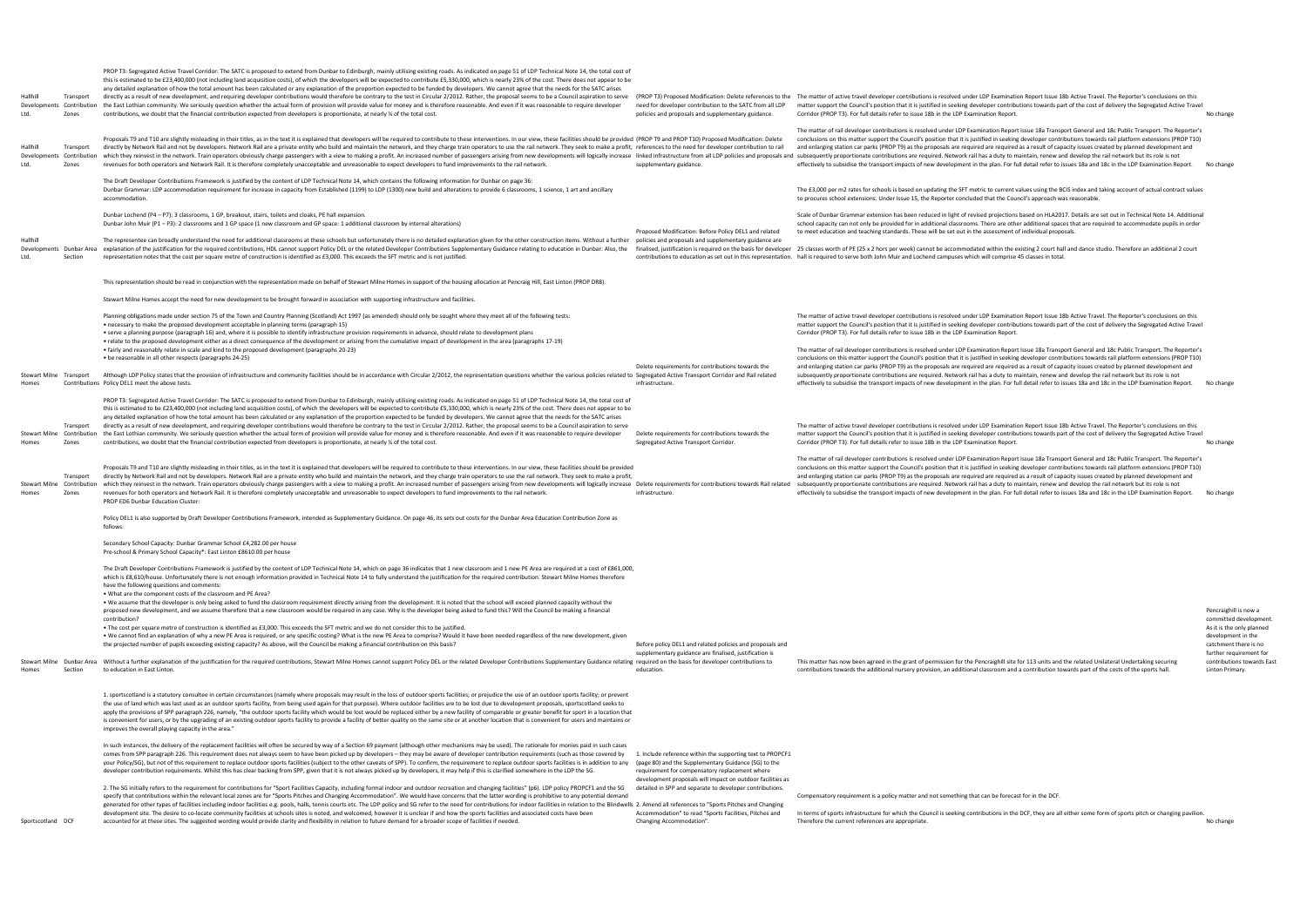| Hallhill<br>Ltd.  | Transport<br>Zones      | PROP T3: Segregated Active Travel Corridor: The SATC is proposed to extend from Dunbar to Edinburgh, mainly utilising existing roads. As indicated on page 51 of LDP Technical Note 14, the total cost of<br>this is estimated to be £23,400,000 (not including land acquisition costs), of which the developers will be expected to contribute £5,330,000, which is nearly 23% of the cost. There does not appear to be<br>any detailed explanation of how the total amount has been calculated or any explanation of the proportion expected to be funded by developers. We cannot agree that the needs for the SATC arises<br>directly as a result of new development, and requiring developer contributions would therefore be contrary to the test in Circular 2/2012. Rather, the proposal seems to be a Council aspiration to serve (PROP T3) Proposed M<br>Developments Contribution the East Lothian community. We seriously question whether the actual form of provision will provide value for money and is therefore reasonable. And even if it was reasonable to require developer<br>contributions, we doubt that the financial contribution expected from developers is proportionate, at nearly % of the total cost. | need for developer contribution to the SATC from all LDP<br>policies and proposals and supplementary guidance.                                                                                                                                                                                 | matter support the Council's position that it is justified in seeking developer contributions towards part of the cost of delivery the Segregated Active Travel<br>Corridor (PROP T3). For full details refer to issue 18b in the LDP Examination Report.                                                                                                                                                                                                                                                                                                                                                                                                                                                                                                                                              | No change                                                      |
|-------------------|-------------------------|---------------------------------------------------------------------------------------------------------------------------------------------------------------------------------------------------------------------------------------------------------------------------------------------------------------------------------------------------------------------------------------------------------------------------------------------------------------------------------------------------------------------------------------------------------------------------------------------------------------------------------------------------------------------------------------------------------------------------------------------------------------------------------------------------------------------------------------------------------------------------------------------------------------------------------------------------------------------------------------------------------------------------------------------------------------------------------------------------------------------------------------------------------------------------------------------------------------------------------------|------------------------------------------------------------------------------------------------------------------------------------------------------------------------------------------------------------------------------------------------------------------------------------------------|--------------------------------------------------------------------------------------------------------------------------------------------------------------------------------------------------------------------------------------------------------------------------------------------------------------------------------------------------------------------------------------------------------------------------------------------------------------------------------------------------------------------------------------------------------------------------------------------------------------------------------------------------------------------------------------------------------------------------------------------------------------------------------------------------------|----------------------------------------------------------------|
| Hallhil<br>Ltd.   | Transport<br>Zones      | Proposals T9 and T10 are slightly misleading in their titles, as in the text it is explained that developers will be required to contribute to these interventions. In our view, these facilities should be provided (PROP T9<br>directly by Network Rail and not by developers. Network Rail are a private entity who build and maintain the network, and they charge train operators to use the rail network. They seek to make a profit, references to the n<br>Developments Contribution which they reinvest in the network. Train operators obviously charge passengers with a view to making a profit. An increased number of passengers arising from new developments will logically incre<br>revenues for both operators and Network Rail. It is therefore completely unacceptable and unreasonable to expect developers to fund improvements to the rail network.                                                                                                                                                                                                                                                                                                                                                            | supplementary guidance.                                                                                                                                                                                                                                                                        | The matter of rail developer contributions is resolved under LDP Examination Report Issue 18a Transport General and 18c Public Transport. The Reporter's<br>conclusions on this matter support the Council's position that it is justified in seeking developer contributions towards rail platform extensions (PROP T10)<br>and enlarging station car parks (PROP T9) as the proposals are required are required as a result of capacity issues created by planned development and<br>effectively to subsidise the transport impacts of new development in the plan. For full detail refer to issues 18a and 18c in the LDP Examination Report.                                                                                                                                                       | No change                                                      |
|                   |                         | The Draft Developer Contributions Framework is justified by the content of LDP Technical Note 14, which contains the following information for Dunbar on page 36:<br>Dunbar Grammar: LDP accommodation requirement for increase in capacity from Established (1199) to LDP (1300) new build and alterations to provide 6 classrooms, 1 science, 1 art and ancillary<br>accommodation.                                                                                                                                                                                                                                                                                                                                                                                                                                                                                                                                                                                                                                                                                                                                                                                                                                                 |                                                                                                                                                                                                                                                                                                | The £3,000 per m2 rates for schools is based on updating the SFT metric to current values using the BCIS index and taking account of actual contract values<br>to procures school extensions. Under Issue 15, the Reporter concluded that the Council's approach was reasonable.                                                                                                                                                                                                                                                                                                                                                                                                                                                                                                                       |                                                                |
|                   |                         | Dunbar Lochend (P4 - P7): 3 classrooms, 1 GP, breakout, stairs, toilets and cloaks, PE hall expansion.<br>Dunbar John Muir (P1 - P3): 2 classrooms and 1 GP space (1 new classroom and GP space: 1 additional classroom by internal alterations)                                                                                                                                                                                                                                                                                                                                                                                                                                                                                                                                                                                                                                                                                                                                                                                                                                                                                                                                                                                      | Proposed Modification: Before Policy DEL1 and related                                                                                                                                                                                                                                          | Scale of Dunbar Grammar extension has been reduced in light of revised projections based on HLA2017. Details are set out in Technical Note 14. Additional<br>school capacity can not only be provided for in additional classrooms. There are other additional spaces that are required to accommodate pupils in order<br>to meet education and teaching standards. These will be set out in the assessment of individual proposals.                                                                                                                                                                                                                                                                                                                                                                   |                                                                |
| Hallhill<br>Ltd.  | Section                 | The representee can broadly understand the need for additional classrooms at these schools but unfortunately there is no detailed explanation given for the other construction items. Without a further<br>Developments Dunbar Area explanation of the justification for the required contributions, HDL cannot support Policy DEL or the related Developer Contributions Supplementary Guidance relating to education in Dunbar: Also, t<br>representation notes that the cost per square metre of construction is identified as £3,000. This exceeds the SFT metric and is not justified.                                                                                                                                                                                                                                                                                                                                                                                                                                                                                                                                                                                                                                           | policies and proposals and supplementary guidance are                                                                                                                                                                                                                                          | finalised, justification is required on the basis for developer 25 classes worth of PE (25 x 2 hors per week) cannot be accommodated within the existing 2 court hall and dance studio. Therefore an additional 2 court<br>contributions to education as set out in this representation. hall is required to serve both John Muir and Lochend campuses which will comprise 45 classes in total.                                                                                                                                                                                                                                                                                                                                                                                                        |                                                                |
|                   |                         | This representation should be read in conjunction with the representation made on behalf of Stewart Milne Homes in support of the housing allocation at Pencraig Hill, East Linton (PROP DR8).                                                                                                                                                                                                                                                                                                                                                                                                                                                                                                                                                                                                                                                                                                                                                                                                                                                                                                                                                                                                                                        |                                                                                                                                                                                                                                                                                                |                                                                                                                                                                                                                                                                                                                                                                                                                                                                                                                                                                                                                                                                                                                                                                                                        |                                                                |
|                   |                         | Stewart Milne Homes accept the need for new development to be brought forward in association with supporting infrastructure and facilities.                                                                                                                                                                                                                                                                                                                                                                                                                                                                                                                                                                                                                                                                                                                                                                                                                                                                                                                                                                                                                                                                                           |                                                                                                                                                                                                                                                                                                |                                                                                                                                                                                                                                                                                                                                                                                                                                                                                                                                                                                                                                                                                                                                                                                                        |                                                                |
|                   |                         | Planning obligations made under section 75 of the Town and Country Planning (Scotland) Act 1997 (as amended) should only be sought where they meet all of the following tests:<br>• necessary to make the proposed development acceptable in planning terms (paragraph 15)<br>• serve a planning purpose (paragraph 16) and, where it is possible to identify infrastructure provision requirements in advance, should relate to development plans<br>• relate to the proposed development either as a direct consequence of the development or arising from the cumulative impact of development in the area (paragraphs 17-19)                                                                                                                                                                                                                                                                                                                                                                                                                                                                                                                                                                                                      |                                                                                                                                                                                                                                                                                                | The matter of active travel developer contributions is resolved under LDP Examination Report Issue 18b Active Travel. The Reporter's conclusions on this<br>matter support the Council's position that it is justified in seeking developer contributions towards part of the cost of delivery the Segregated Active Travel<br>Corridor (PROP T3). For full details refer to issue 18b in the LDP Examination Report.                                                                                                                                                                                                                                                                                                                                                                                  |                                                                |
|                   | Stewart Milne Transport | • fairly and reasonably relate in scale and kind to the proposed development (paragraphs 20-23)<br>. be reasonable in all other respects (paragraphs 24-25)<br>Although LDP Policy states that the provision of infrastructure and community facilities should be in accordance with Circular 2/2012, the representation questions whether the various policies related to Segregated Active                                                                                                                                                                                                                                                                                                                                                                                                                                                                                                                                                                                                                                                                                                                                                                                                                                          | Delete requirements for contributions towards the                                                                                                                                                                                                                                              | The matter of rail developer contributions is resolved under LDP Examination Report Issue 18a Transport General and 18c Public Transport. The Reporter's<br>conclusions on this matter support the Council's position that it is justified in seeking developer contributions towards rail platform extensions (PROP T10)<br>and enlarging station car parks (PROP T9) as the proposals are required are required as a result of capacity issues created by planned development and<br>subsequently proportionate contributions are required. Network rail has a duty to maintain, renew and develop the rail network but its role is not                                                                                                                                                              |                                                                |
| Homes             |                         | Contributions Policy DEL1 meet the above tests.                                                                                                                                                                                                                                                                                                                                                                                                                                                                                                                                                                                                                                                                                                                                                                                                                                                                                                                                                                                                                                                                                                                                                                                       | infrastructure.                                                                                                                                                                                                                                                                                | effectively to subsidise the transport impacts of new development in the plan. For full detail refer to issues 18a and 18c in the LDP Examination Report.                                                                                                                                                                                                                                                                                                                                                                                                                                                                                                                                                                                                                                              | No change                                                      |
| Homes             | Transport<br>Zones      | PROP T3: Segregated Active Travel Corridor: The SATC is proposed to extend from Dunbar to Edinburgh, mainly utilising existing roads. As indicated on page 51 of LDP Technical Note 14, the total cost of<br>this is estimated to be £23,400,000 (not including land acquisition costs), of which the developers will be expected to contribute £5,330,000, which is nearly 23% of the cost. There does not appear to be<br>any detailed explanation of how the total amount has been calculated or any explanation of the proportion expected to be funded by developers. We cannot agree that the needs for the SATC arises<br>directly as a result of new development, and requiring developer contributions would therefore be contrary to the test in Circular 2/2012. Rather, the proposal seems to be a Council aspiration to serve<br>Stewart Milne Contribution the East Lothian community. We seriously question whether the actual form of provision will provide value for money and is therefore reasonable. And even if it was reasonable to require developer<br>contributions, we doubt that the financial contribution expected from developers is proportionate, at nearly % of the total cost.                     | Delete requirements for contributions towards the<br>Segregated Active Transport Corridor.                                                                                                                                                                                                     | The matter of active travel developer contributions is resolved under LDP Examination Report Issue 18b Active Travel. The Reporter's conclusions on this<br>matter support the Council's position that it is justified in seeking developer contributions towards part of the cost of delivery the Segregated Active Travel<br>Corridor (PROP T3). For full details refer to issue 18b in the LDP Examination Report.                                                                                                                                                                                                                                                                                                                                                                                  | No change                                                      |
| Homes             | Transport<br>Zones      | Proposals T9 and T10 are slightly misleading in their titles, as in the text it is explained that developers will be required to contribute to these interventions. In our view, these facilities should be provided<br>directly by Network Rail and not by developers. Network Rail are a private entity who build and maintain the network, and they charge train operators to use the rail network. They seek to make a profit,<br>Stewart Milne Contribution which they reinvest in the network. Train operators obviously charge passengers with a view to making a profit. An increased number of passengers arising from new developments will logically incr<br>revenues for both operators and Network Rail. It is therefore completely unacceptable and unreasonable to expect developers to fund improvements to the rail network.<br>PROP ED6 Dunbar Education Cluster:                                                                                                                                                                                                                                                                                                                                                   | infrastructure.                                                                                                                                                                                                                                                                                | The matter of rail developer contributions is resolved under LDP Examination Report Issue 18a Transport General and 18c Public Transport. The Reporter's<br>conclusions on this matter support the Council's position that it is justified in seeking developer contributions towards rail platform extensions (PROP T10)<br>and enlarging station car parks (PROP T9) as the proposals are required are required as a result of capacity issues created by planned development and<br>subsequently proportionate contributions are required. Network rail has a duty to maintain, renew and develop the rail network but its role is not<br>effectively to subsidise the transport impacts of new development in the plan. For full detail refer to issues 18a and 18c in the LDP Examination Report. | No change                                                      |
|                   |                         | Policy DEL1 is also supported by Draft Developer Contributions Framework, intended as Supplementary Guidance. On page 46, its sets out costs for the Dunbar Area Education Contribution Zone as<br>follows:                                                                                                                                                                                                                                                                                                                                                                                                                                                                                                                                                                                                                                                                                                                                                                                                                                                                                                                                                                                                                           |                                                                                                                                                                                                                                                                                                |                                                                                                                                                                                                                                                                                                                                                                                                                                                                                                                                                                                                                                                                                                                                                                                                        |                                                                |
|                   |                         | Secondary School Capacity: Dunbar Grammar School £4,282.00 per house<br>Pre-school & Primary School Capacity*: East Linton £8610.00 per house                                                                                                                                                                                                                                                                                                                                                                                                                                                                                                                                                                                                                                                                                                                                                                                                                                                                                                                                                                                                                                                                                         |                                                                                                                                                                                                                                                                                                |                                                                                                                                                                                                                                                                                                                                                                                                                                                                                                                                                                                                                                                                                                                                                                                                        |                                                                |
|                   |                         | The Draft Developer Contributions Framework is justified by the content of LDP Technical Note 14, which on page 36 indicates that 1 new classroom and 1 new PE Area are required at a cost of £861,000,<br>which is £8,610/house. Unfortunately there is not enough information provided in Technical Note 14 to fully understand the justification for the required contribution. Stewart Milne Homes therefore<br>have the following questions and comments:<br>• What are the component costs of the classroom and PE Area?<br>. We assume that the developer is only being asked to fund the classroom requirement directly arising from the development. It is noted that the school will exceed planned capacity without the<br>proposed new development, and we assume therefore that a new classroom would be required in any case. Why is the developer being asked to fund this? Will the Council be making a financial                                                                                                                                                                                                                                                                                                     |                                                                                                                                                                                                                                                                                                |                                                                                                                                                                                                                                                                                                                                                                                                                                                                                                                                                                                                                                                                                                                                                                                                        | Pencraigh                                                      |
|                   |                         | contribution?<br>• The cost per square metre of construction is identified as £3,000. This exceeds the SFT metric and we do not consider this to be justified.<br>. We cannot find an explanation of why a new PE Area is required, or any specific costing? What is the new PE Area to comprise? Would it have been needed regardless of the new development, given<br>the projected number of pupils exceeding existing capacity? As above, will the Council be making a financial contribution on this basis?                                                                                                                                                                                                                                                                                                                                                                                                                                                                                                                                                                                                                                                                                                                      | Before policy DEL1 and related policies and proposals and<br>supplementary guidance are finalised, justification is                                                                                                                                                                            |                                                                                                                                                                                                                                                                                                                                                                                                                                                                                                                                                                                                                                                                                                                                                                                                        | committe<br>As it is the<br>developm<br>catchmen<br>further re |
| Homes             | Section                 | Stewart Milne Dunbar Area Without a further explanation of the justification for the required contributions, Stewart Milne Homes cannot support Policy DEL or the related Developer Contributions Supplementary Guidance relat<br>to education in East Linton.                                                                                                                                                                                                                                                                                                                                                                                                                                                                                                                                                                                                                                                                                                                                                                                                                                                                                                                                                                        | education.                                                                                                                                                                                                                                                                                     | This matter has now been agreed in the grant of permission for the Pencraighill site for 113 units and the related Unilateral Undertaking securing<br>contributions towards the additional nursery provision, an additional classroom and a contribution towards part of the costs of the sports hall.                                                                                                                                                                                                                                                                                                                                                                                                                                                                                                 | contributi<br>Linton Prin                                      |
|                   |                         | 1. sportscotland is a statutory consultee in certain circumstances (namely where proposals may result in the loss of outdoor sports facilities; or prejudice the use of an outdoor sports facility; or prevent<br>the use of land which was last used as an outdoor sports facility, from being used again for that purpose). Where outdoor facilities are to be lost due to development proposals, sportscotland seeks to<br>apply the provisions of SPP paragraph 226, namely, "the outdoor sports facility which would be lost would be replaced either by a new facility of comparable or greater benefit for sport in a location that<br>is convenient for users, or by the upgrading of an existing outdoor sports facility to provide a facility of better quality on the same site or at another location that is convenient for users and maintains or<br>improves the overall playing capacity in the area."                                                                                                                                                                                                                                                                                                                |                                                                                                                                                                                                                                                                                                |                                                                                                                                                                                                                                                                                                                                                                                                                                                                                                                                                                                                                                                                                                                                                                                                        |                                                                |
|                   |                         | In such instances, the delivery of the replacement facilities will often be secured by way of a Section 69 payment (although other mechanisms may be used). The rationale for monies paid in such cases<br>comes from SPP paragraph 226. This requirement does not always seem to have been picked up by developers - they may be aware of developer contribution requirements (such as those covered by<br>your Policy/SG), but not of this requirement to replace outdoor sports facilities (subject to the other caveats of SPP). To confirm, the requirement to replace outdoor sports facilities is in addition to any<br>developer contribution requirements. Whilst this has clear backing from SPP, given that it is not always picked up by developers, it may help if this is clarified somewhere in the LDP the SG.<br>2. The SG initially refers to the requirement for contributions for "Sport Facilities Capacity, including formal indoor and outdoor recreation and changing facilities" (p6). LDP policy PROPCF1 and the SG                                                                                                                                                                                         | 1. Include reference within the supporting text to PROPCF1<br>(page 80) and the Supplementary Guidance (SG) to the<br>requirement for compensatory replacement where<br>development proposals will impact on outdoor facilities as<br>detailed in SPP and separate to developer contributions. |                                                                                                                                                                                                                                                                                                                                                                                                                                                                                                                                                                                                                                                                                                                                                                                                        |                                                                |
| Sportscotland DCF |                         | specify that contributions within the relevant local zones are for "Sports Pitches and Changing Accommodation". We would have concerns that the latter wording is prohibitive to any potential demand<br>generated for other types of facilities including indoor facilities e.g. pools, halls, tennis courts etc. The LDP policy and SG refer to the need for contributions for indoor facilities in relation to the Blindwells 2. Ame<br>development site. The desire to co-locate community facilities at schools sites is noted, and welcomed, however it is unclear if and how the sports facilities and associated costs have been<br>accounted for at these sites. The suggested wording would provide clarity and flexibility in relation to future demand for a broader scope of facilities if needed.                                                                                                                                                                                                                                                                                                                                                                                                                       | Accommodation" to read "Sports Facilities, Pitches and<br>Changing Accommodation".                                                                                                                                                                                                             | Compensatory requirement is a policy matter and not something that can be forecast for in the DCF.<br>In terms of sports infrastructure for which the Council is seeking contributions in the DCF, they are all either some form of sports pitch or changing pavilion.<br>Therefore the current references are appropriate.                                                                                                                                                                                                                                                                                                                                                                                                                                                                            | No change                                                      |
|                   |                         |                                                                                                                                                                                                                                                                                                                                                                                                                                                                                                                                                                                                                                                                                                                                                                                                                                                                                                                                                                                                                                                                                                                                                                                                                                       |                                                                                                                                                                                                                                                                                                |                                                                                                                                                                                                                                                                                                                                                                                                                                                                                                                                                                                                                                                                                                                                                                                                        |                                                                |

Pencraighill is now a committed development. As it is the only planned development in the catchment there is no further requirement for contributions towards East Linton Primary.